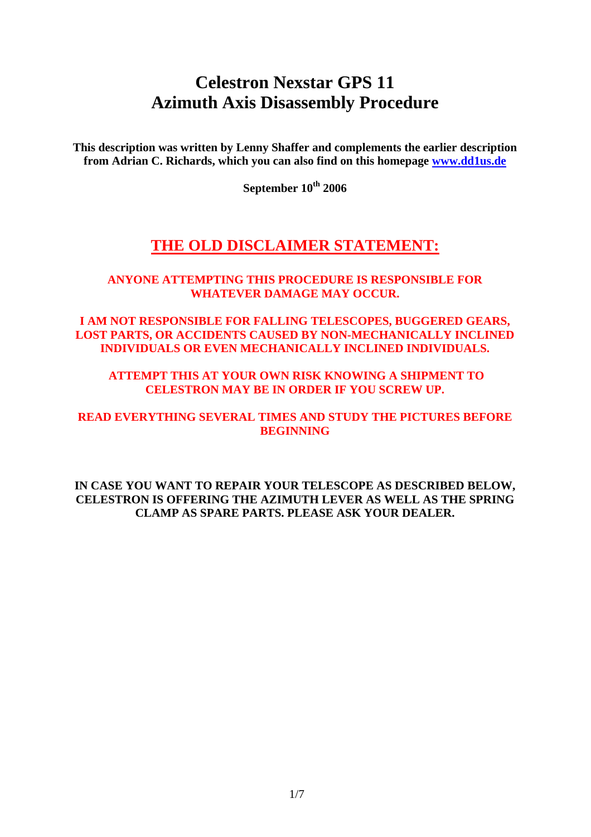# **Celestron Nexstar GPS 11 Azimuth Axis Disassembly Procedure**

**This description was written by Lenny Shaffer and complements the earlier description from Adrian C. Richards, which you can also find on this homepage www.dd1us.de**

**September 10<sup>th</sup> 2006** 

## **THE OLD DISCLAIMER STATEMENT:**

## **ANYONE ATTEMPTING THIS PROCEDURE IS RESPONSIBLE FOR WHATEVER DAMAGE MAY OCCUR.**

**I AM NOT RESPONSIBLE FOR FALLING TELESCOPES, BUGGERED GEARS, LOST PARTS, OR ACCIDENTS CAUSED BY NON-MECHANICALLY INCLINED INDIVIDUALS OR EVEN MECHANICALLY INCLINED INDIVIDUALS.** 

 **ATTEMPT THIS AT YOUR OWN RISK KNOWING A SHIPMENT TO CELESTRON MAY BE IN ORDER IF YOU SCREW UP.** 

**READ EVERYTHING SEVERAL TIMES AND STUDY THE PICTURES BEFORE BEGINNING**

**IN CASE YOU WANT TO REPAIR YOUR TELESCOPE AS DESCRIBED BELOW, CELESTRON IS OFFERING THE AZIMUTH LEVER AS WELL AS THE SPRING CLAMP AS SPARE PARTS. PLEASE ASK YOUR DEALER.**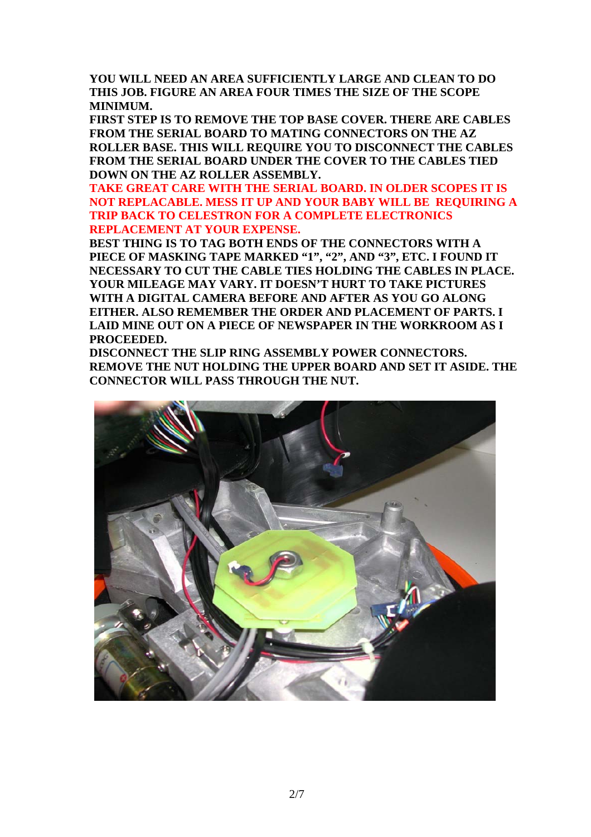**YOU WILL NEED AN AREA SUFFICIENTLY LARGE AND CLEAN TO DO THIS JOB. FIGURE AN AREA FOUR TIMES THE SIZE OF THE SCOPE MINIMUM.**

**FIRST STEP IS TO REMOVE THE TOP BASE COVER. THERE ARE CABLES FROM THE SERIAL BOARD TO MATING CONNECTORS ON THE AZ ROLLER BASE. THIS WILL REQUIRE YOU TO DISCONNECT THE CABLES FROM THE SERIAL BOARD UNDER THE COVER TO THE CABLES TIED DOWN ON THE AZ ROLLER ASSEMBLY.** 

**TAKE GREAT CARE WITH THE SERIAL BOARD. IN OLDER SCOPES IT IS NOT REPLACABLE. MESS IT UP AND YOUR BABY WILL BE REQUIRING A TRIP BACK TO CELESTRON FOR A COMPLETE ELECTRONICS REPLACEMENT AT YOUR EXPENSE.** 

**BEST THING IS TO TAG BOTH ENDS OF THE CONNECTORS WITH A PIECE OF MASKING TAPE MARKED "1", "2", AND "3", ETC. I FOUND IT NECESSARY TO CUT THE CABLE TIES HOLDING THE CABLES IN PLACE. YOUR MILEAGE MAY VARY. IT DOESN'T HURT TO TAKE PICTURES WITH A DIGITAL CAMERA BEFORE AND AFTER AS YOU GO ALONG EITHER. ALSO REMEMBER THE ORDER AND PLACEMENT OF PARTS. I LAID MINE OUT ON A PIECE OF NEWSPAPER IN THE WORKROOM AS I PROCEEDED.**

**DISCONNECT THE SLIP RING ASSEMBLY POWER CONNECTORS. REMOVE THE NUT HOLDING THE UPPER BOARD AND SET IT ASIDE. THE CONNECTOR WILL PASS THROUGH THE NUT.**

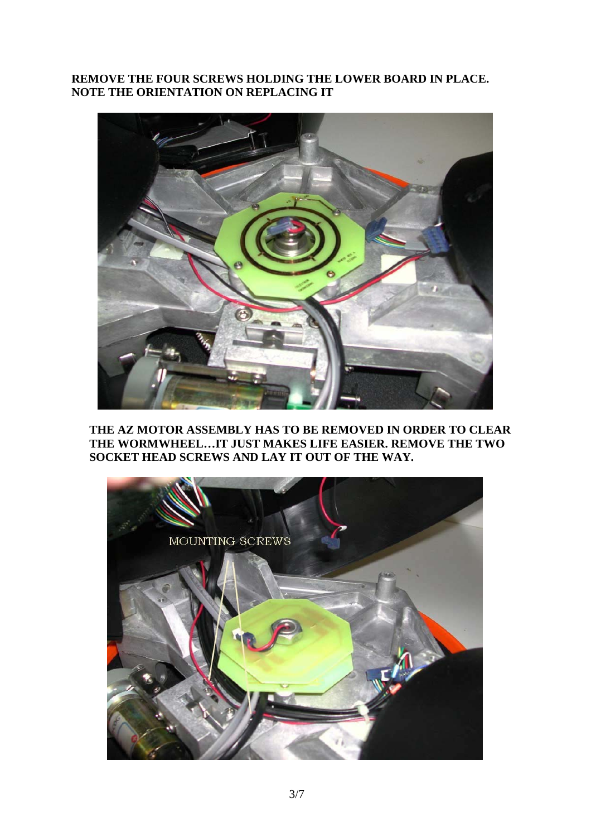## **REMOVE THE FOUR SCREWS HOLDING THE LOWER BOARD IN PLACE. NOTE THE ORIENTATION ON REPLACING IT**



**THE AZ MOTOR ASSEMBLY HAS TO BE REMOVED IN ORDER TO CLEAR THE WORMWHEEL…IT JUST MAKES LIFE EASIER. REMOVE THE TWO SOCKET HEAD SCREWS AND LAY IT OUT OF THE WAY.** 

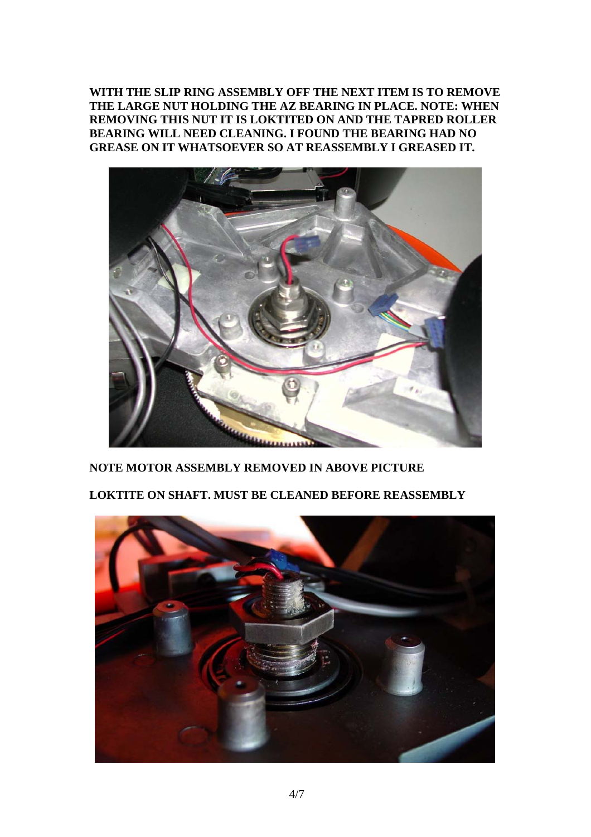**WITH THE SLIP RING ASSEMBLY OFF THE NEXT ITEM IS TO REMOVE THE LARGE NUT HOLDING THE AZ BEARING IN PLACE. NOTE: WHEN REMOVING THIS NUT IT IS LOKTITED ON AND THE TAPRED ROLLER BEARING WILL NEED CLEANING. I FOUND THE BEARING HAD NO GREASE ON IT WHATSOEVER SO AT REASSEMBLY I GREASED IT.** 



## **NOTE MOTOR ASSEMBLY REMOVED IN ABOVE PICTURE**

**LOKTITE ON SHAFT. MUST BE CLEANED BEFORE REASSEMBLY** 

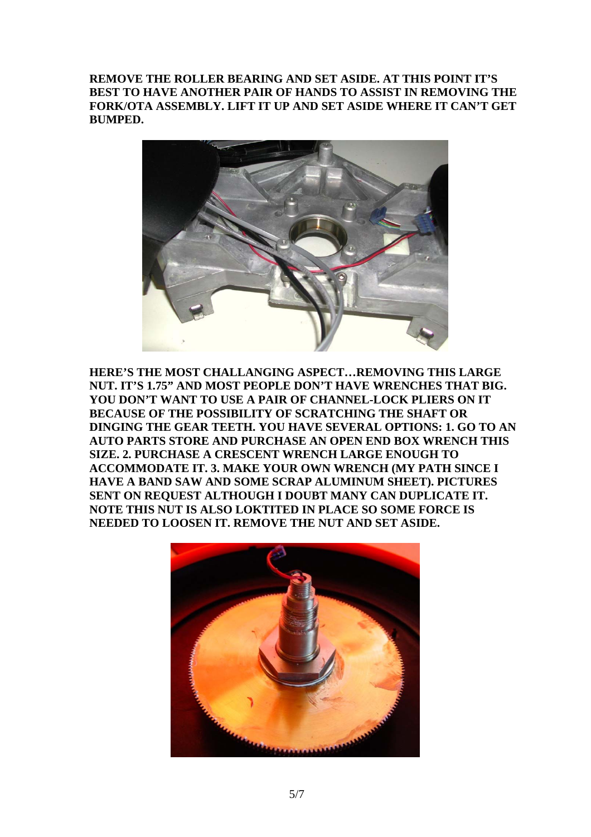**REMOVE THE ROLLER BEARING AND SET ASIDE. AT THIS POINT IT'S BEST TO HAVE ANOTHER PAIR OF HANDS TO ASSIST IN REMOVING THE FORK/OTA ASSEMBLY. LIFT IT UP AND SET ASIDE WHERE IT CAN'T GET BUMPED.** 



**HERE'S THE MOST CHALLANGING ASPECT…REMOVING THIS LARGE NUT. IT'S 1.75" AND MOST PEOPLE DON'T HAVE WRENCHES THAT BIG. YOU DON'T WANT TO USE A PAIR OF CHANNEL-LOCK PLIERS ON IT BECAUSE OF THE POSSIBILITY OF SCRATCHING THE SHAFT OR DINGING THE GEAR TEETH. YOU HAVE SEVERAL OPTIONS: 1. GO TO AN AUTO PARTS STORE AND PURCHASE AN OPEN END BOX WRENCH THIS SIZE. 2. PURCHASE A CRESCENT WRENCH LARGE ENOUGH TO ACCOMMODATE IT. 3. MAKE YOUR OWN WRENCH (MY PATH SINCE I HAVE A BAND SAW AND SOME SCRAP ALUMINUM SHEET). PICTURES SENT ON REQUEST ALTHOUGH I DOUBT MANY CAN DUPLICATE IT. NOTE THIS NUT IS ALSO LOKTITED IN PLACE SO SOME FORCE IS NEEDED TO LOOSEN IT. REMOVE THE NUT AND SET ASIDE.** 

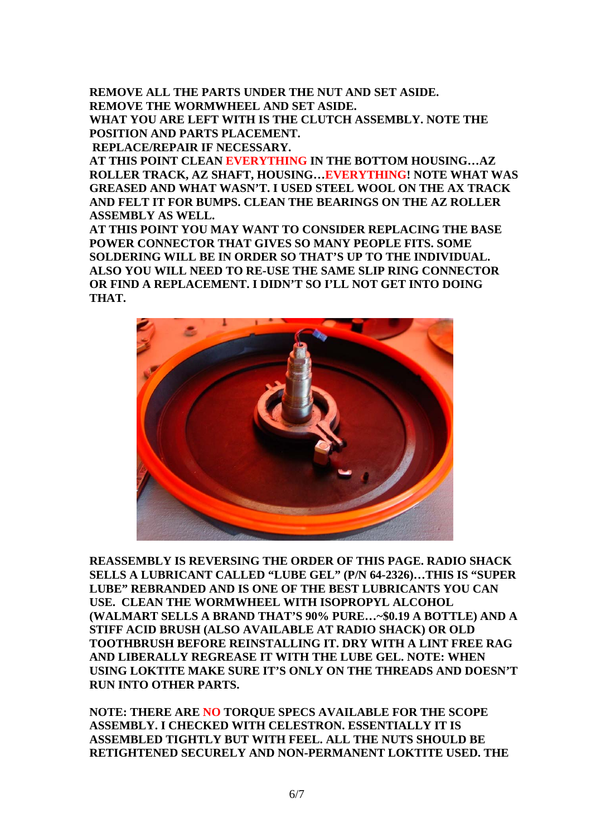**REMOVE ALL THE PARTS UNDER THE NUT AND SET ASIDE. REMOVE THE WORMWHEEL AND SET ASIDE. WHAT YOU ARE LEFT WITH IS THE CLUTCH ASSEMBLY. NOTE THE POSITION AND PARTS PLACEMENT. REPLACE/REPAIR IF NECESSARY.** 

**AT THIS POINT CLEAN EVERYTHING IN THE BOTTOM HOUSING…AZ ROLLER TRACK, AZ SHAFT, HOUSING…EVERYTHING! NOTE WHAT WAS GREASED AND WHAT WASN'T. I USED STEEL WOOL ON THE AX TRACK AND FELT IT FOR BUMPS. CLEAN THE BEARINGS ON THE AZ ROLLER ASSEMBLY AS WELL.**

**AT THIS POINT YOU MAY WANT TO CONSIDER REPLACING THE BASE POWER CONNECTOR THAT GIVES SO MANY PEOPLE FITS. SOME SOLDERING WILL BE IN ORDER SO THAT'S UP TO THE INDIVIDUAL. ALSO YOU WILL NEED TO RE-USE THE SAME SLIP RING CONNECTOR OR FIND A REPLACEMENT. I DIDN'T SO I'LL NOT GET INTO DOING THAT.**



**REASSEMBLY IS REVERSING THE ORDER OF THIS PAGE. RADIO SHACK SELLS A LUBRICANT CALLED "LUBE GEL" (P/N 64-2326)…THIS IS "SUPER LUBE" REBRANDED AND IS ONE OF THE BEST LUBRICANTS YOU CAN USE. CLEAN THE WORMWHEEL WITH ISOPROPYL ALCOHOL (WALMART SELLS A BRAND THAT'S 90% PURE…~\$0.19 A BOTTLE) AND A STIFF ACID BRUSH (ALSO AVAILABLE AT RADIO SHACK) OR OLD TOOTHBRUSH BEFORE REINSTALLING IT. DRY WITH A LINT FREE RAG AND LIBERALLY REGREASE IT WITH THE LUBE GEL. NOTE: WHEN USING LOKTITE MAKE SURE IT'S ONLY ON THE THREADS AND DOESN'T RUN INTO OTHER PARTS.**

**NOTE: THERE ARE NO TORQUE SPECS AVAILABLE FOR THE SCOPE ASSEMBLY. I CHECKED WITH CELESTRON. ESSENTIALLY IT IS ASSEMBLED TIGHTLY BUT WITH FEEL. ALL THE NUTS SHOULD BE RETIGHTENED SECURELY AND NON-PERMANENT LOKTITE USED. THE**